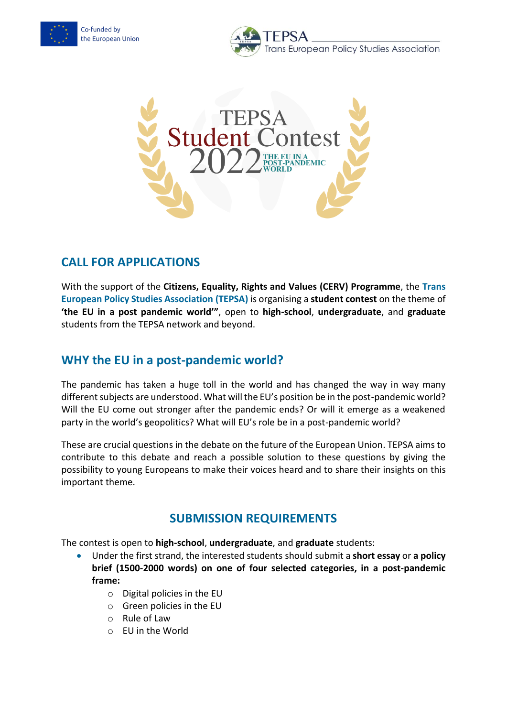





## **CALL FOR APPLICATIONS**

With the support of the **Citizens, Equality, Rights and Values (CERV) Programme**, the **[Trans](http://www.tepsa.eu/)  [European Policy Studies Association](http://www.tepsa.eu/) (TEPSA)** is organising a **student contest** on the theme of **'the EU in a post pandemic world'"**, open to **high-school**, **undergraduate**, and **graduate** students from the TEPSA network and beyond.

### **WHY the EU in a post-pandemic world?**

The pandemic has taken a huge toll in the world and has changed the way in way many different subjects are understood. What will the EU's position be in the post-pandemic world? Will the EU come out stronger after the pandemic ends? Or will it emerge as a weakened party in the world's geopolitics? What will EU's role be in a post-pandemic world?

These are crucial questions in the debate on the future of the European Union. TEPSA aims to contribute to this debate and reach a possible solution to these questions by giving the possibility to young Europeans to make their voices heard and to share their insights on this important theme.

### **SUBMISSION REQUIREMENTS**

The contest is open to **high-school**, **undergraduate**, and **graduate** students:

- Under the first strand, the interested students should submit a **short essay** or **a policy brief (1500-2000 words) on one of four selected categories, in a post-pandemic frame:**
	- o Digital policies in the EU
	- o Green policies in the EU
	- o Rule of Law
	- $\circ$  FU in the World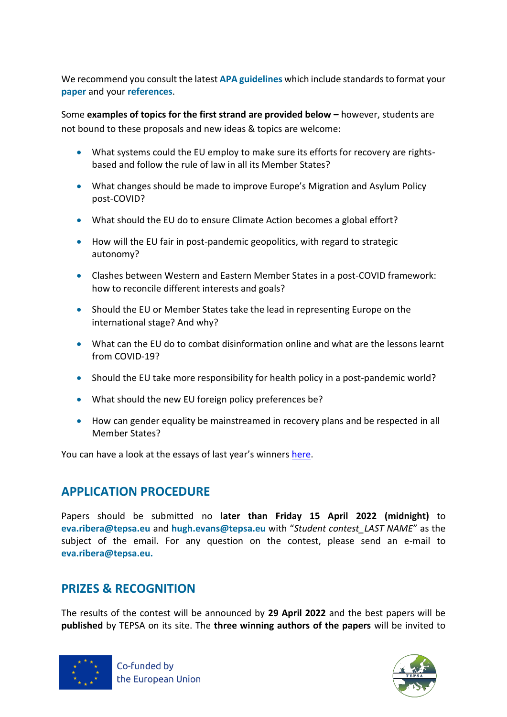We recommend you consult the latest **[APA guidelines](https://apastyle.apa.org/)** which include standards to format your **[paper](https://apastyle.apa.org/style-grammar-guidelines/paper-format)** and your **[references](https://apastyle.apa.org/style-grammar-guidelines/references)**.

Some **examples of topics for the first strand are provided below –** however, students are not bound to these proposals and new ideas & topics are welcome:

- What systems could the EU employ to make sure its efforts for recovery are rightsbased and follow the rule of law in all its Member States?
- What changes should be made to improve Europe's Migration and Asylum Policy post-COVID?
- What should the EU do to ensure Climate Action becomes a global effort?
- How will the EU fair in post-pandemic geopolitics, with regard to strategic autonomy?
- Clashes between Western and Eastern Member States in a post-COVID framework: how to reconcile different interests and goals?
- Should the EU or Member States take the lead in representing Europe on the international stage? And why?
- What can the EU do to combat disinformation online and what are the lessons learnt from COVID-19?
- Should the EU take more responsibility for health policy in a post-pandemic world?
- What should the new EU foreign policy preferences be?
- How can gender equality be mainstreamed in recovery plans and be respected in all Member States?

You can have a look at the essays of last year's winner[s here.](https://www.tepsa.eu/category/tepsa_voices/tepsa-student-papers/)

# **APPLICATION PROCEDURE**

Papers should be submitted no **later than Friday 15 April 2022 (midnight)** to **eva.ribera@tepsa.eu** and **[hugh.evans@tepsa.eu](mailto:hugh.evans@tepsa.eu)** with "*Student contest\_LAST NAME*" as the subject of the email. For any question on the contest, please send an e-mail to **eva.ribera@tepsa.eu.**

# **PRIZES & RECOGNITION**

The results of the contest will be announced by **29 April 2022** and the best papers will be **published** by TEPSA on its site. The **three winning authors of the papers** will be invited to